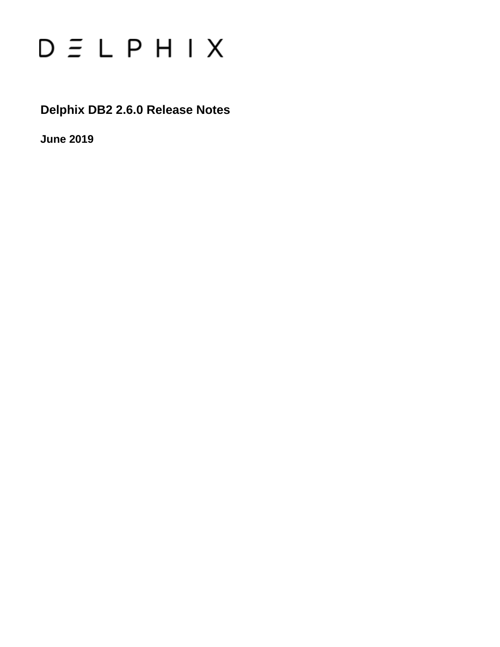

## **Delphix DB2 2.6.0 Release Notes**

**June 2019**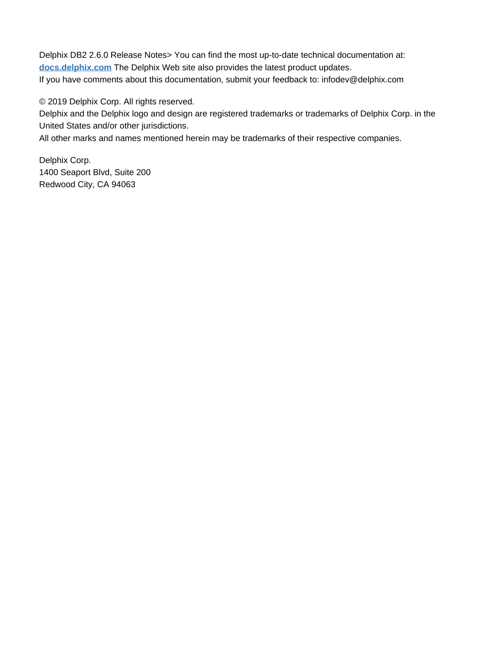Delphix DB2 2.6.0 Release Notes> You can find the most up-to-date technical documentation at: **[docs.delphix.com](http://docs.delphix.com)** The Delphix Web site also provides the latest product updates. If you have comments about this documentation, submit your feedback to: infodev@delphix.com

© 2019 Delphix Corp. All rights reserved.

Delphix and the Delphix logo and design are registered trademarks or trademarks of Delphix Corp. in the United States and/or other jurisdictions.

All other marks and names mentioned herein may be trademarks of their respective companies.

Delphix Corp. 1400 Seaport Blvd, Suite 200 Redwood City, CA 94063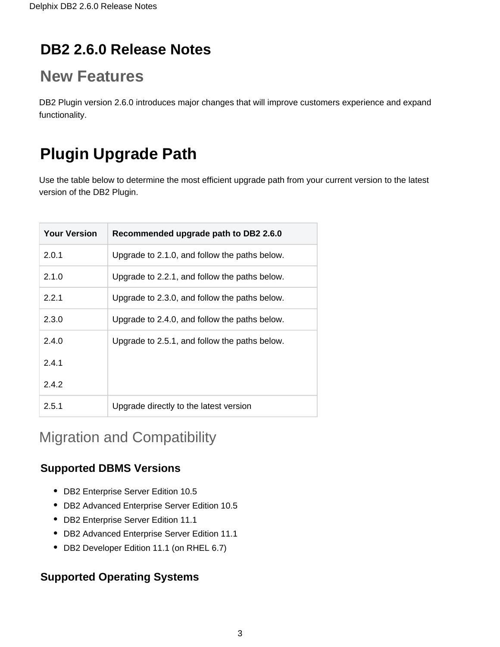## **DB2 2.6.0 Release Notes**

# **New Features**

DB2 Plugin version 2.6.0 introduces major changes that will improve customers experience and expand functionality.

# **Plugin Upgrade Path**

Use the table below to determine the most efficient upgrade path from your current version to the latest version of the DB2 Plugin.

| <b>Your Version</b> | Recommended upgrade path to DB2 2.6.0         |
|---------------------|-----------------------------------------------|
| 2.0.1               | Upgrade to 2.1.0, and follow the paths below. |
| 2.1.0               | Upgrade to 2.2.1, and follow the paths below. |
| 2.2.1               | Upgrade to 2.3.0, and follow the paths below. |
| 2.3.0               | Upgrade to 2.4.0, and follow the paths below. |
| 2.4.0               | Upgrade to 2.5.1, and follow the paths below. |
| 2.4.1               |                                               |
| 2.4.2               |                                               |
| 2.5.1               | Upgrade directly to the latest version        |

## Migration and Compatibility

### **Supported DBMS Versions**

- DB2 Enterprise Server Edition 10.5
- DB2 Advanced Enterprise Server Edition 10.5
- DB2 Enterprise Server Edition 11.1
- DB2 Advanced Enterprise Server Edition 11.1
- DB2 Developer Edition 11.1 (on RHEL 6.7)

### **Supported Operating Systems**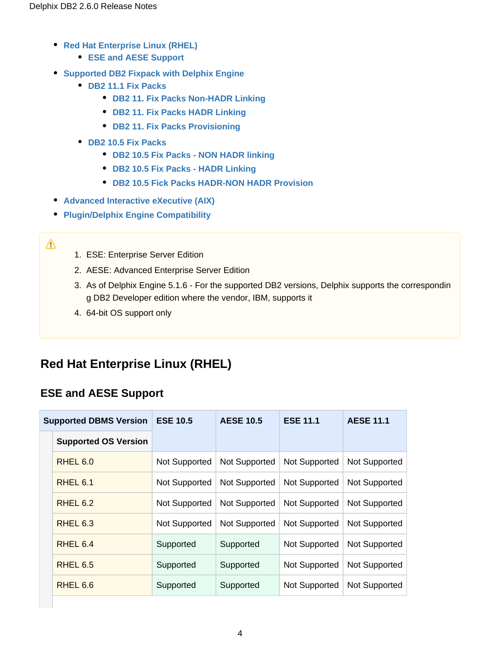- **[Red Hat Enterprise Linux \(RHEL\)](#page-3-0)** 
	- **[ESE and AESE Support](#page-3-1)**
- **[Supported DB2 Fixpack with Delphix Engine](#page-4-0)**
	- **[DB2 11.1 Fix Packs](#page-4-1)** 
		- **[DB2 11. Fix Packs Non-HADR Linking](#page-4-2)**
		- **[DB2 11. Fix Packs HADR Linking](#page-4-3)**
		- **[DB2 11. Fix Packs Provisioning](#page-4-4)**
	- **[DB2 10.5 Fix Packs](#page-5-0)**
		- **[DB2 10.5 Fix Packs NON HADR linking](#page-5-1)**
		- **[DB2 10.5 Fix Packs HADR Linking](#page-5-2)**
		- **[DB2 10.5 Fick Packs HADR-NON HADR Provision](#page-6-0)**
- **[Advanced Interactive eXecutive \(AIX\)](#page-6-1)**
- **[Plugin/Delphix Engine Compatibility](#page-7-0)**
- Δ
- 1. ESE: Enterprise Server Edition
- 2. AESE: Advanced Enterprise Server Edition
- 3. As of Delphix Engine 5.1.6 For the supported DB2 versions, Delphix supports the correspondin g DB2 Developer edition where the vendor, IBM, supports it
- 4. 64-bit OS support only

### <span id="page-3-0"></span>**Red Hat Enterprise Linux (RHEL)**

#### <span id="page-3-1"></span>**ESE and AESE Support**

| <b>Supported DBMS Version</b> | <b>ESE 10.5</b> | <b>AESE 10.5</b> | <b>ESE 11.1</b> | <b>AESE 11.1</b>     |
|-------------------------------|-----------------|------------------|-----------------|----------------------|
| <b>Supported OS Version</b>   |                 |                  |                 |                      |
| RHEL 6.0                      | Not Supported   | Not Supported    | Not Supported   | Not Supported        |
| RHEL <sub>6.1</sub>           | Not Supported   | Not Supported    | Not Supported   | Not Supported        |
| RHEL 6.2                      | Not Supported   | Not Supported    | Not Supported   | <b>Not Supported</b> |
| RHEL 6.3                      | Not Supported   | Not Supported    | Not Supported   | Not Supported        |
| RHEL 6.4                      | Supported       | Supported        | Not Supported   | Not Supported        |
| RHEL 6.5                      | Supported       | Supported        | Not Supported   | Not Supported        |
| RHEL 6.6                      | Supported       | Supported        | Not Supported   | Not Supported        |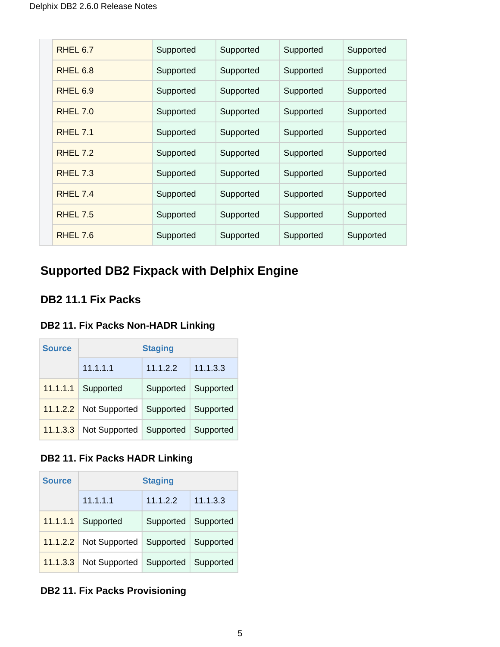| RHEL 6.7            | Supported | Supported | Supported | Supported |
|---------------------|-----------|-----------|-----------|-----------|
| RHEL 6.8            | Supported | Supported | Supported | Supported |
| RHEL <sub>6.9</sub> | Supported | Supported | Supported | Supported |
| RHEL 7.0            | Supported | Supported | Supported | Supported |
| <b>RHEL 7.1</b>     | Supported | Supported | Supported | Supported |
| RHEL 7.2            | Supported | Supported | Supported | Supported |
| RHEL 7.3            | Supported | Supported | Supported | Supported |
| RHEL 74             | Supported | Supported | Supported | Supported |
| <b>RHEL 7.5</b>     | Supported | Supported | Supported | Supported |
| RHEL 7.6            | Supported | Supported | Supported | Supported |

## <span id="page-4-0"></span>**Supported DB2 Fixpack with Delphix Engine**

### <span id="page-4-1"></span>**DB2 11.1 Fix Packs**

## <span id="page-4-2"></span>**DB2 11. Fix Packs Non-HADR Linking**

| <b>Source</b> | <b>Staging</b>         |                       |          |  |  |  |  |
|---------------|------------------------|-----------------------|----------|--|--|--|--|
|               | 11.1.1.1               | 11.1.2.2              | 11.1.3.3 |  |  |  |  |
| 11.1.1.1      | Supported              | Supported   Supported |          |  |  |  |  |
|               | 11.1.2.2 Not Supported | Supported   Supported |          |  |  |  |  |
|               | 11.1.3.3 Not Supported | Supported   Supported |          |  |  |  |  |

#### <span id="page-4-3"></span>**DB2 11. Fix Packs HADR Linking**

| <b>Source</b> | <b>Staging</b> |                       |          |  |  |  |  |
|---------------|----------------|-----------------------|----------|--|--|--|--|
|               | 11.1.1.1       | 11.1.2.2              | 11.1.3.3 |  |  |  |  |
| 11.1.1.1      | Supported      | Supported   Supported |          |  |  |  |  |
| 11.1.2.2      | Not Supported  | Supported   Supported |          |  |  |  |  |
| 11.1.3.3      | Not Supported  | Supported   Supported |          |  |  |  |  |

#### <span id="page-4-4"></span>**DB2 11. Fix Packs Provisioning**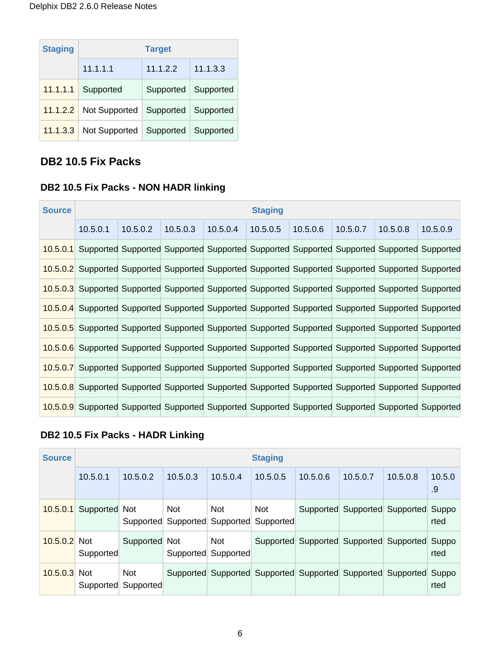| <b>Staging</b> | <b>Target</b>                              |                       |          |  |  |  |  |
|----------------|--------------------------------------------|-----------------------|----------|--|--|--|--|
|                | 11.1.1.1                                   | 11.1.2.2              | 11.1.3.3 |  |  |  |  |
|                | $11.1.1.1$ Supported                       | Supported   Supported |          |  |  |  |  |
|                | 11.1.2.2 Not Supported                     | Supported   Supported |          |  |  |  |  |
|                | 11.1.3.3 Not Supported Supported Supported |                       |          |  |  |  |  |

#### <span id="page-5-0"></span>**DB2 10.5 Fix Packs**

## <span id="page-5-1"></span>**DB2 10.5 Fix Packs - NON HADR linking**

| <b>Source</b> | <b>Staging</b>                                                                                     |          |          |          |          |          |          |          |                                                                                                    |
|---------------|----------------------------------------------------------------------------------------------------|----------|----------|----------|----------|----------|----------|----------|----------------------------------------------------------------------------------------------------|
|               | 10.5.0.1                                                                                           | 10.5.0.2 | 10.5.0.3 | 10.5.0.4 | 10.5.0.5 | 10.5.0.6 | 10.5.0.7 | 10.5.0.8 | 10.5.0.9                                                                                           |
|               | 10.5.0.1 Supported Supported Supported Supported Supported Supported Supported Supported Supported |          |          |          |          |          |          |          |                                                                                                    |
|               |                                                                                                    |          |          |          |          |          |          |          | 10.5.0.2 Supported Supported Supported Supported Supported Supported Supported Supported Supported |
|               | 10.5.0.3 Supported Supported Supported Supported Supported Supported Supported Supported Supported |          |          |          |          |          |          |          |                                                                                                    |
|               | 10.5.0.4 Supported Supported Supported Supported Supported Supported Supported Supported Supported |          |          |          |          |          |          |          |                                                                                                    |
|               | 10.5.0.5 Supported Supported Supported Supported Supported Supported Supported Supported Supported |          |          |          |          |          |          |          |                                                                                                    |
|               | 10.5.0.6 Supported Supported Supported Supported Supported Supported Supported Supported Supported |          |          |          |          |          |          |          |                                                                                                    |
|               | 10.5.0.7 Supported Supported Supported Supported Supported Supported Supported Supported Supported |          |          |          |          |          |          |          |                                                                                                    |
|               | 10.5.0.8 Supported Supported Supported Supported Supported Supported Supported Supported Supported |          |          |          |          |          |          |          |                                                                                                    |
|               | 10.5.0.9 Supported Supported Supported Supported Supported Supported Supported Supported Supported |          |          |          |          |          |          |          |                                                                                                    |

#### <span id="page-5-2"></span>**DB2 10.5 Fix Packs - HADR Linking**

| <b>Source</b>  | <b>Staging</b> |                         |            |                                   |                         |          |          |                                                   |               |
|----------------|----------------|-------------------------|------------|-----------------------------------|-------------------------|----------|----------|---------------------------------------------------|---------------|
|                | 10.5.0.1       | 10.5.0.2                | 10.503     | 10.5.0.4                          | 10.5.0.5                | 10.5.0.6 | 10.5.0.7 | 10.5.0.8                                          | 10.5.0<br>.9  |
| 10.5.0.1       | Supported      | <b>Not</b><br>Supported | <b>Not</b> | <b>Not</b><br>Supported Supported | <b>Not</b><br>Supported |          |          | Supported Supported Supported Suppo               | rted          |
| $10.5.0.2$ Not | Supported      | Supported Not           | Supported  | <b>Not</b><br>Supported           |                         |          |          | Supported Supported Supported Supported           | Suppo<br>rted |
| $10.5.0.3$ Not | Supported      | <b>Not</b><br>Supported | Supported  |                                   |                         |          |          | Supported Supported Supported Supported Supported | Suppo<br>rted |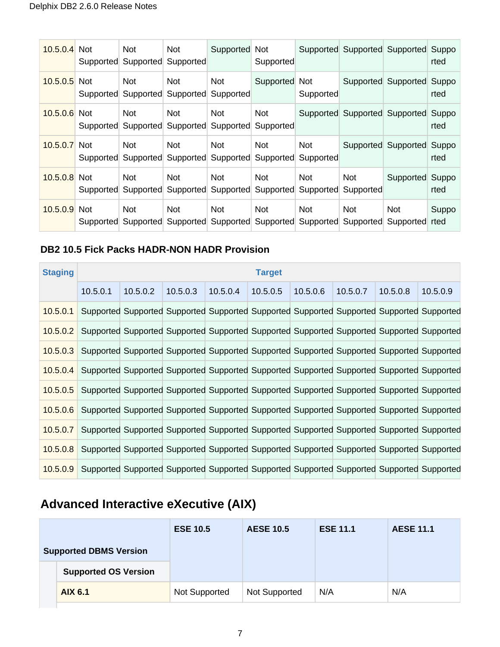| 10.5.0.4 | <b>Not</b>              | <b>Not</b><br>Supported Supported | <b>Not</b><br>Supported | Supported               | Not<br>Supported        |                                                       | Supported Supported Supported |                         | Suppo<br>rted |
|----------|-------------------------|-----------------------------------|-------------------------|-------------------------|-------------------------|-------------------------------------------------------|-------------------------------|-------------------------|---------------|
| 10.5.0.5 | <b>Not</b>              | <b>Not</b><br>Supported Supported | <b>Not</b><br>Supported | <b>Not</b><br>Supported | Supported Not           | Supported                                             | Supported                     | Supported               | Suppo<br>rted |
| 10.5.0.6 | <b>Not</b><br>Supported | <b>Not</b><br>Supported           | <b>Not</b><br>Supported | <b>Not</b><br>Supported | <b>Not</b><br>Supported |                                                       | Supported Supported Supported |                         | Suppo<br>rted |
| 10.5.0.7 | <b>Not</b><br>Supported | <b>Not</b><br>Supported           | <b>Not</b><br>Supported | <b>Not</b><br>Supported | <b>Not</b><br>Supported | Not<br>Supported                                      | Supported                     | Supported               | Suppo<br>rted |
| 10.5.0.8 | <b>Not</b>              | <b>Not</b><br>Supported Supported | <b>Not</b><br>Supported | <b>Not</b><br>Supported | <b>Not</b><br>Supported | <b>Not</b><br>Supported                               | <b>Not</b><br>Supported       | Supported               | Suppo<br>rted |
| 10.5.0.9 | <b>Not</b><br>Supported | <b>Not</b><br>Supported           | <b>Not</b>              | <b>Not</b>              | <b>Not</b>              | <b>Not</b><br>Supported Supported Supported Supported | <b>Not</b><br>Supported       | <b>Not</b><br>Supported | Suppo<br>rted |

#### <span id="page-6-0"></span>**DB2 10.5 Fick Packs HADR-NON HADR Provision**

| <b>Staging</b> | <b>Target</b> |                                                                                           |          |          |          |          |          |          |                                                                                           |
|----------------|---------------|-------------------------------------------------------------------------------------------|----------|----------|----------|----------|----------|----------|-------------------------------------------------------------------------------------------|
|                | 10.5.0.1      | 10.5.0.2                                                                                  | 10.5.0.3 | 10.5.0.4 | 10.5.0.5 | 10.5.0.6 | 10.5.0.7 | 10.5.0.8 | 10.5.0.9                                                                                  |
| 10.5.0.1       |               |                                                                                           |          |          |          |          |          |          | Supported Supported Supported Supported Supported Supported Supported Supported Supported |
| 10.5.0.2       |               | Supported Supported Supported Supported Supported Supported Supported Supported Supported |          |          |          |          |          |          |                                                                                           |
| 10.5.0.3       |               |                                                                                           |          |          |          |          |          |          | Supported Supported Supported Supported Supported Supported Supported Supported Supported |
| 10.5.0.4       |               |                                                                                           |          |          |          |          |          |          | Supported Supported Supported Supported Supported Supported Supported Supported Supported |
| 10.5.0.5       |               |                                                                                           |          |          |          |          |          |          | Supported Supported Supported Supported Supported Supported Supported Supported Supported |
| 10.5.0.6       |               |                                                                                           |          |          |          |          |          |          | Supported Supported Supported Supported Supported Supported Supported Supported Supported |
| 10.5.0.7       |               |                                                                                           |          |          |          |          |          |          | Supported Supported Supported Supported Supported Supported Supported Supported Supported |
| 10.5.0.8       |               |                                                                                           |          |          |          |          |          |          | Supported Supported Supported Supported Supported Supported Supported Supported Supported |
| 10.5.0.9       |               | Supported Supported Supported Supported Supported Supported Supported Supported Supported |          |          |          |          |          |          |                                                                                           |

## <span id="page-6-1"></span>**Advanced Interactive eXecutive (AIX)**

|                               |                             | <b>ESE 10.5</b> | <b>AESE 10.5</b>     | <b>ESE 11.1</b> | <b>AESE 11.1</b> |
|-------------------------------|-----------------------------|-----------------|----------------------|-----------------|------------------|
| <b>Supported DBMS Version</b> |                             |                 |                      |                 |                  |
|                               | <b>Supported OS Version</b> |                 |                      |                 |                  |
|                               | <b>AIX 6.1</b>              | Not Supported   | <b>Not Supported</b> | N/A             | N/A              |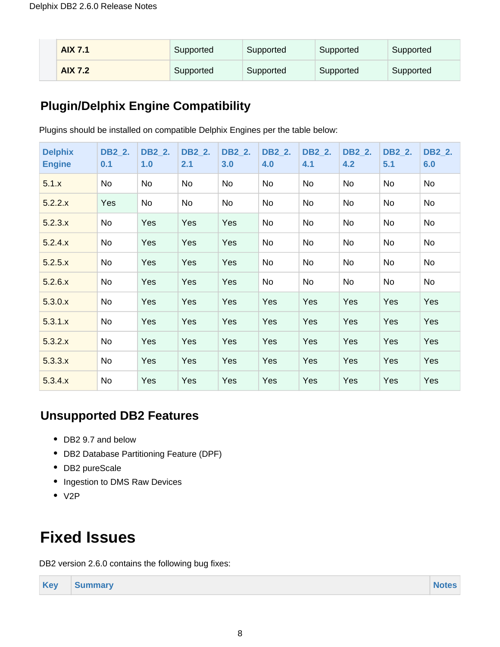| <b>AIX 7.1</b> | Supported | Supported | Supported | Supported |
|----------------|-----------|-----------|-----------|-----------|
| <b>AIX 7.2</b> | Supported | Supported | Supported | Supported |

## <span id="page-7-0"></span>**Plugin/Delphix Engine Compatibility**

Plugins should be installed on compatible Delphix Engines per the table below:

| <b>Delphix</b><br><b>Engine</b> | <b>DB2 2.</b><br>0.1 | DB2 2.<br>1.0 | <b>DB2 2.</b><br>2.1 | <b>DB2 2.</b><br>3.0 | DB2 2.<br>4.0 | <b>DB2 2.</b><br>4.1 | DB2 2.<br>4.2 | <b>DB2 2.</b><br>5.1 | DB2 2.<br>6.0 |
|---------------------------------|----------------------|---------------|----------------------|----------------------|---------------|----------------------|---------------|----------------------|---------------|
| 5.1.x                           | No                   | No            | No                   | No                   | No            | No                   | No            | No                   | No            |
| 5.2.2.x                         | <b>Yes</b>           | No            | No                   | No                   | No            | No                   | No            | No                   | <b>No</b>     |
| 5.2.3.x                         | No                   | Yes           | Yes                  | Yes                  | No            | No                   | No            | No                   | <b>No</b>     |
| 5.2.4.x                         | No                   | Yes           | Yes                  | Yes                  | No            | No                   | No            | No                   | <b>No</b>     |
| 5.2.5.x                         | No                   | Yes           | Yes                  | <b>Yes</b>           | No            | No                   | No            | No                   | No            |
| 5.2.6.x                         | No                   | Yes           | Yes                  | <b>Yes</b>           | No            | No                   | No            | No                   | No            |
| 5.3.0.x                         | No                   | Yes           | <b>Yes</b>           | <b>Yes</b>           | Yes           | Yes                  | Yes           | <b>Yes</b>           | Yes           |
| 5.3.1.x                         | No                   | Yes           | Yes                  | <b>Yes</b>           | Yes           | Yes                  | Yes           | Yes                  | Yes           |
| 5.3.2.x                         | No                   | Yes           | Yes                  | <b>Yes</b>           | Yes           | Yes                  | Yes           | Yes                  | Yes           |
| 5.3.3.x                         | No                   | Yes           | <b>Yes</b>           | <b>Yes</b>           | Yes           | Yes                  | Yes           | <b>Yes</b>           | Yes           |
| 5.3.4.x                         | No                   | Yes           | Yes                  | Yes                  | Yes           | Yes                  | Yes           | <b>Yes</b>           | Yes           |

### **Unsupported DB2 Features**

- DB2 9.7 and below
- DB2 Database Partitioning Feature (DPF)
- DB2 pureScale
- Ingestion to DMS Raw Devices
- $\bullet$  V<sub>2</sub>P

# **Fixed Issues**

DB2 version 2.6.0 contains the following bug fixes:

```
Key Summary Notes
```